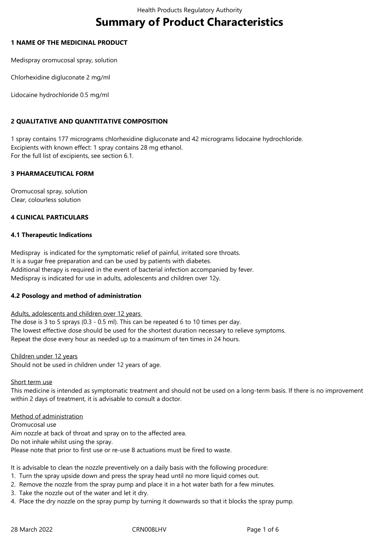# **Summary of Product Characteristics**

## **1 NAME OF THE MEDICINAL PRODUCT**

Medispray oromucosal spray, solution

Chlorhexidine digluconate 2 mg/ml

Lidocaine hydrochloride 0.5 mg/ml

# **2 QUALITATIVE AND QUANTITATIVE COMPOSITION**

1 spray contains 177 micrograms chlorhexidine digluconate and 42 micrograms lidocaine hydrochloride. Excipients with known effect: 1 spray contains 28 mg ethanol. For the full list of excipients, see section 6.1.

# **3 PHARMACEUTICAL FORM**

Oromucosal spray, solution Clear, colourless solution

# **4 CLINICAL PARTICULARS**

## **4.1 Therapeutic Indications**

Medispray is indicated for the symptomatic relief of painful, irritated sore throats. It is a sugar free preparation and can be used by patients with diabetes. Additional therapy is required in the event of bacterial infection accompanied by fever. Medispray is indicated for use in adults, adolescents and children over 12y.

#### **4.2 Posology and method of administration**

#### Adults, adolescents and children over 12 years

The dose is 3 to 5 sprays (0.3 - 0.5 ml). This can be repeated 6 to 10 times per day. The lowest effective dose should be used for the shortest duration necessary to relieve symptoms. Repeat the dose every hour as needed up to a maximum of ten times in 24 hours.

#### Children under 12 years

Should not be used in children under 12 years of age.

#### Short term use

This medicine is intended as symptomatic treatment and should not be used on a long-term basis. If there is no improvement within 2 days of treatment, it is advisable to consult a doctor.

#### Method of administration

Oromucosal use Aim nozzle at back of throat and spray on to the affected area. Do not inhale whilst using the spray. Please note that prior to first use or re-use 8 actuations must be fired to waste.

It is advisable to clean the nozzle preventively on a daily basis with the following procedure:

- 1. Turn the spray upside down and press the spray head until no more liquid comes out.
- 2. Remove the nozzle from the spray pump and place it in a hot water bath for a few minutes.
- 3. Take the nozzle out of the water and let it dry.
- 4. Place the dry nozzle on the spray pump by turning it downwards so that it blocks the spray pump.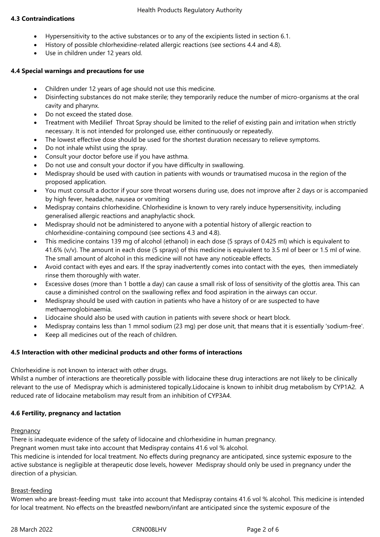# **4.3 Contraindications**

- Hypersensitivity to the active substances or to any of the excipients listed in section 6.1.
- History of possible chlorhexidine-related allergic reactions (see sections 4.4 and 4.8).
- Use in children under 12 years old.

# **4.4 Special warnings and precautions for use**

- Children under 12 years of age should not use this medicine.
- Disinfecting substances do not make sterile; they temporarily reduce the number of micro-organisms at the oral cavity and pharynx.
- Do not exceed the stated dose.
- Treatment with Medilief Throat Spray should be limited to the relief of existing pain and irritation when strictly necessary. It is not intended for prolonged use, either continuously or repeatedly.
- The lowest effective dose should be used for the shortest duration necessary to relieve symptoms.
- Do not inhale whilst using the spray.
- Consult your doctor before use if you have asthma.
- Do not use and consult your doctor if you have difficulty in swallowing.
- Medispray should be used with caution in patients with wounds or traumatised mucosa in the region of the proposed application.
- You must consult a doctor if your sore throat worsens during use, does not improve after 2 days or is accompanied by high fever, headache, nausea or vomiting
- Medispray contains chlorhexidine. Chlorhexidine is known to very rarely induce hypersensitivity, including generalised allergic reactions and anaphylactic shock.
- Medispray should not be administered to anyone with a potential history of allergic reaction to chlorhexidine-containing compound (see sections 4.3 and 4.8).
- This medicine contains 139 mg of alcohol (ethanol) in each dose (5 sprays of 0.425 ml) which is equivalent to 41.6% (v/v). The amount in each dose (5 sprays) of this medicine is equivalent to 3.5 ml of beer or 1.5 ml of wine. The small amount of alcohol in this medicine will not have any noticeable effects.
- Avoid contact with eyes and ears. If the spray inadvertently comes into contact with the eyes, then immediately rinse them thoroughly with water.
- Excessive doses (more than 1 bottle a day) can cause a small risk of loss of sensitivity of the glottis area. This can cause a diminished control on the swallowing reflex and food aspiration in the airways can occur.
- Medispray should be used with caution in patients who have a history of or are suspected to have methaemoglobinaemia.
- Lidocaine should also be used with caution in patients with severe shock or heart block.
- Medispray contains less than 1 mmol sodium (23 mg) per dose unit, that means that it is essentially 'sodium-free'.
- Keep all medicines out of the reach of children.

# **4.5 Interaction with other medicinal products and other forms of interactions**

Chlorhexidine is not known to interact with other drugs.

Whilst a number of interactions are theoretically possible with lidocaine these drug interactions are not likely to be clinically relevant to the use of Medispray which is administered topically.Lidocaine is known to inhibit drug metabolism by CYP1A2. A reduced rate of lidocaine metabolism may result from an inhibition of CYP3A4.

# **4.6 Fertility, pregnancy and lactation**

# Pregnancy

There is inadequate evidence of the safety of lidocaine and chlorhexidine in human pregnancy.

Pregnant women must take into account that Medispray contains 41.6 vol % alcohol.

This medicine is intended for local treatment. No effects during pregnancy are anticipated, since systemic exposure to the active substance is negligible at therapeutic dose levels, however Medispray should only be used in pregnancy under the direction of a physician.

# Breast-feeding

Women who are breast-feeding must take into account that Medispray contains 41.6 vol % alcohol. This medicine is intended for local treatment. No effects on the breastfed newborn/infant are anticipated since the systemic exposure of the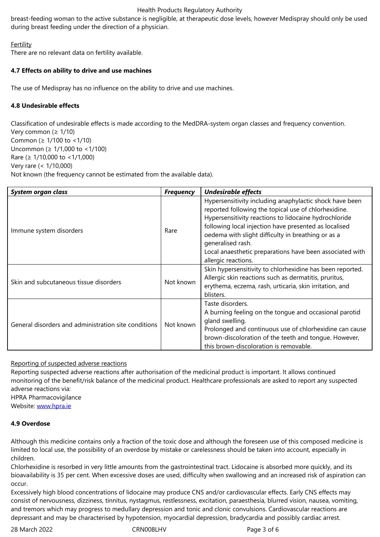# **Fertility**

There are no relevant data on fertility available.

# **4.7 Effects on ability to drive and use machines**

The use of Medispray has no influence on the ability to drive and use machines.

# **4.8 Undesirable effects**

Classification of undesirable effects is made according to the MedDRA-system organ classes and frequency convention. Very common ( $\geq 1/10$ ) Common (≥ 1/100 to <1/10) Uncommon (≥ 1/1,000 to <1/100) Rare (≥ 1/10,000 to <1/1,000) Very rare (< 1/10,000) Not known (the frequency cannot be estimated from the available data).

| System organ class                                   | <b>Frequency</b> | <b>Undesirable effects</b>                                                                                                                                                                                                                                                                                                                                                                      |
|------------------------------------------------------|------------------|-------------------------------------------------------------------------------------------------------------------------------------------------------------------------------------------------------------------------------------------------------------------------------------------------------------------------------------------------------------------------------------------------|
| Immune system disorders                              | Rare             | Hypersensitivity including anaphylactic shock have been<br>reported following the topical use of chlorhexidine.<br>Hypersensitivity reactions to lidocaine hydrochloride<br>following local injection have presented as localised<br>oedema with slight difficulty in breathing or as a<br>generalised rash.<br>Local anaesthetic preparations have been associated with<br>allergic reactions. |
| Skin and subcutaneous tissue disorders               | Not known        | Skin hypersensitivity to chlorhexidine has been reported.<br>Allergic skin reactions such as dermatitis, pruritus,<br>erythema, eczema, rash, urticaria, skin irritation, and<br>blisters.                                                                                                                                                                                                      |
| General disorders and administration site conditions | Not known        | Taste disorders.<br>A burning feeling on the tongue and occasional parotid<br>gland swelling.<br>Prolonged and continuous use of chlorhexidine can cause<br>brown-discoloration of the teeth and tonque. However,<br>this brown-discoloration is removable.                                                                                                                                     |

# Reporting of suspected adverse reactions

Reporting suspected adverse reactions after authorisation of the medicinal product is important. It allows continued monitoring of the benefit/risk balance of the medicinal product. Healthcare professionals are asked to report any suspected adverse reactions via:

HPRA Pharmacovigilance

Website: www.hpra.ie

#### **4.9 Overdose**

Althoug[h this medicin](http://www.hpra.ie/)e contains only a fraction of the toxic dose and although the foreseen use of this composed medicine is limited to local use, the possibility of an overdose by mistake or carelessness should be taken into account, especially in children.

Chlorhexidine is resorbed in very little amounts from the gastrointestinal tract. Lidocaine is absorbed more quickly, and its bioavailability is 35 per cent. When excessive doses are used, difficulty when swallowing and an increased risk of aspiration can occur.

Excessively high blood concentrations of lidocaine may produce CNS and/or cardiovascular effects. Early CNS effects may consist of nervousness, dizziness, tinnitus, nystagmus, restlessness, excitation, paraesthesia, blurred vision, nausea, vomiting, and tremors which may progress to medullary depression and tonic and clonic convulsions. Cardiovascular reactions are depressant and may be characterised by hypotension, myocardial depression, bradycardia and possibly cardiac arrest.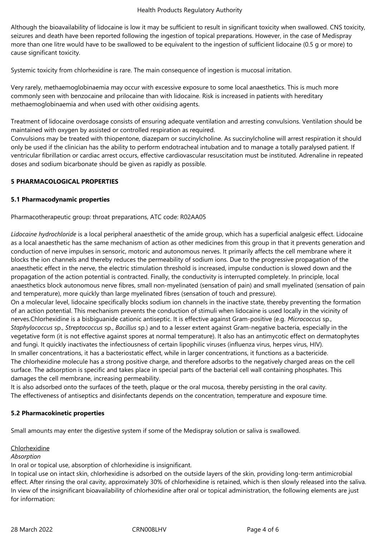Although the bioavailability of lidocaine is low it may be sufficient to result in significant toxicity when swallowed. CNS toxicity, seizures and death have been reported following the ingestion of topical preparations. However, in the case of Medispray more than one litre would have to be swallowed to be equivalent to the ingestion of sufficient lidocaine (0.5 g or more) to cause significant toxicity.

Systemic toxicity from chlorhexidine is rare. The main consequence of ingestion is mucosal irritation.

Very rarely, methaemoglobinaemia may occur with excessive exposure to some local anaesthetics. This is much more commonly seen with benzocaine and prilocaine than with lidocaine. Risk is increased in patients with hereditary methaemoglobinaemia and when used with other oxidising agents.

Treatment of lidocaine overdosage consists of ensuring adequate ventilation and arresting convulsions. Ventilation should be maintained with oxygen by assisted or controlled respiration as required.

Convulsions may be treated with thiopentone, diazepam or succinylcholine. As succinylcholine will arrest respiration it should only be used if the clinician has the ability to perform endotracheal intubation and to manage a totally paralysed patient. If ventricular fibrillation or cardiac arrest occurs, effective cardiovascular resuscitation must be instituted. Adrenaline in repeated doses and sodium bicarbonate should be given as rapidly as possible.

## **5 PHARMACOLOGICAL PROPERTIES**

## **5.1 Pharmacodynamic properties**

Pharmacotherapeutic group: throat preparations, ATC code: R02AA05

*Lidocaine hydrochloride* is a local peripheral anaesthetic of the amide group, which has a superficial analgesic effect. Lidocaine as a local anaesthetic has the same mechanism of action as other medicines from this group in that it prevents generation and conduction of nerve impulses in sensoric, motoric and autonomous nerves. It primarily affects the cell membrane where it blocks the ion channels and thereby reduces the permeability of sodium ions. Due to the progressive propagation of the anaesthetic effect in the nerve, the electric stimulation threshold is increased, impulse conduction is slowed down and the propagation of the action potential is contracted. Finally, the conductivity is interrupted completely. In principle, local anaesthetics block autonomous nerve fibres, small non-myelinated (sensation of pain) and small myelinated (sensation of pain and temperature), more quickly than large myelinated fibres (sensation of touch and pressure).

On a molecular level, lidocaine specifically blocks sodium ion channels in the inactive state, thereby preventing the formation of an action potential. This mechanism prevents the conduction of stimuli when lidocaine is used locally in the vicinity of nerves.Chlorhexidine is a bisbiguanide cationic antiseptic. It is effective against Gram-positive (e.g. *Micrococcus* sp., *Staphylococcus* sp., *Streptococcus* sp., *Bacillus* sp*.*) and to a lesser extent against Gram-negative bacteria, especially in the vegetative form (it is not effective against spores at normal temperature). It also has an antimycotic effect on dermatophytes and fungi. It quickly inactivates the infectiousness of certain lipophilic viruses (influenza virus, herpes virus, HIV). In smaller concentrations, it has a bacteriostatic effect, while in larger concentrations, it functions as a bactericide. The chlorhexidine molecule has a strong positive charge, and therefore adsorbs to the negatively charged areas on the cell surface. The adsorption is specific and takes place in special parts of the bacterial cell wall containing phosphates. This damages the cell membrane, increasing permeability.

It is also adsorbed onto the surfaces of the teeth, plaque or the oral mucosa, thereby persisting in the oral cavity. The effectiveness of antiseptics and disinfectants depends on the concentration, temperature and exposure time.

#### **5.2 Pharmacokinetic properties**

Small amounts may enter the digestive system if some of the Medispray solution or saliva is swallowed.

#### **Chlorhexidine**

#### *Absorption*

In oral or topical use, absorption of chlorhexidine is insignificant.

In topical use on intact skin, chlorhexidine is adsorbed on the outside layers of the skin, providing long-term antimicrobial effect. After rinsing the oral cavity, approximately 30% of chlorhexidine is retained, which is then slowly released into the saliva. In view of the insignificant bioavailability of chlorhexidine after oral or topical administration, the following elements are just for information: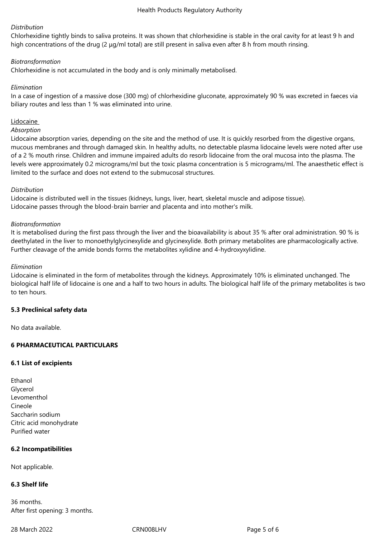## *Distribution*

Chlorhexidine tightly binds to saliva proteins. It was shown that chlorhexidine is stable in the oral cavity for at least 9 h and high concentrations of the drug (2 μg/ml total) are still present in saliva even after 8 h from mouth rinsing.

## *Biotransformation*

Chlorhexidine is not accumulated in the body and is only minimally metabolised.

## *Elimination*

In a case of ingestion of a massive dose (300 mg) of chlorhexidine gluconate, approximately 90 % was excreted in faeces via biliary routes and less than 1 % was eliminated into urine.

## **Lidocaine**

#### *Absorption*

Lidocaine absorption varies, depending on the site and the method of use. It is quickly resorbed from the digestive organs, mucous membranes and through damaged skin. In healthy adults, no detectable plasma lidocaine levels were noted after use of a 2 % mouth rinse. Children and immune impaired adults do resorb lidocaine from the oral mucosa into the plasma. The levels were approximately 0.2 micrograms/ml but the toxic plasma concentration is 5 micrograms/ml. The anaesthetic effect is limited to the surface and does not extend to the submucosal structures.

#### *Distribution*

Lidocaine is distributed well in the tissues (kidneys, lungs, liver, heart, skeletal muscle and adipose tissue). Lidocaine passes through the blood-brain barrier and placenta and into mother's milk.

#### *Biotransformation*

It is metabolised during the first pass through the liver and the bioavailability is about 35 % after oral administration. 90 % is deethylated in the liver to monoethylglycinexylide and glycinexylide. Both primary metabolites are pharmacologically active. Further cleavage of the amide bonds forms the metabolites xylidine and 4-hydroxyxylidine.

## *Elimination*

Lidocaine is eliminated in the form of metabolites through the kidneys. Approximately 10% is eliminated unchanged. The biological half life of lidocaine is one and a half to two hours in adults. The biological half life of the primary metabolites is two to ten hours.

#### **5.3 Preclinical safety data**

No data available.

# **6 PHARMACEUTICAL PARTICULARS**

#### **6.1 List of excipients**

| Ethanol                 |
|-------------------------|
| Glycerol                |
| Levomenthol             |
| Cineole                 |
| Saccharin sodium        |
| Citric acid monohydrate |
| Purified water          |

#### **6.2 Incompatibilities**

Not applicable.

# **6.3 Shelf life**

36 months. After first opening: 3 months.